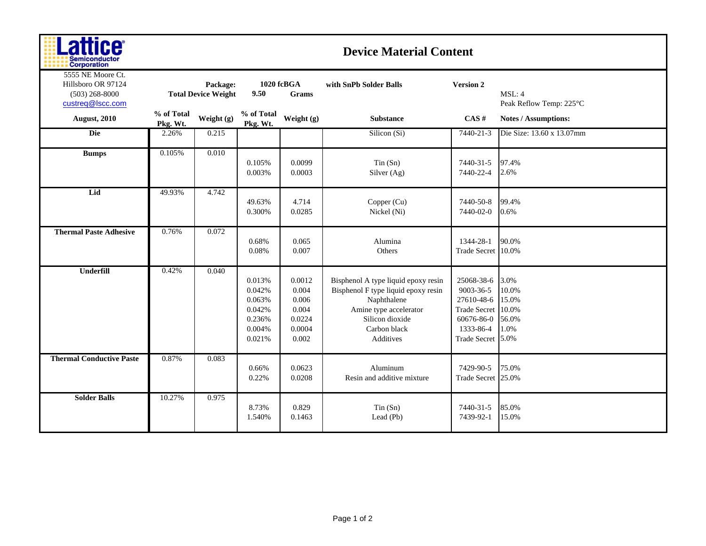| ш<br>ш<br><b>Semiconductor</b> |
|--------------------------------|
| <b>Corporation</b>             |

## **Device Material Content**

| 5555 NE Moore Ct.<br>Hillsboro OR 97124<br>$(503)$ 268-8000<br>custreq@lscc.com |                        | Package:<br><b>Total Device Weight</b> | 1020 fcBGA<br>9.50                                                 | Grams                                                          | with SnPb Solder Balls                                                                                                                                              | <b>Version 2</b>                                                                                             | MSL: 4<br>Peak Reflow Temp: 225°C                |
|---------------------------------------------------------------------------------|------------------------|----------------------------------------|--------------------------------------------------------------------|----------------------------------------------------------------|---------------------------------------------------------------------------------------------------------------------------------------------------------------------|--------------------------------------------------------------------------------------------------------------|--------------------------------------------------|
| <b>August, 2010</b>                                                             | % of Total<br>Pkg. Wt. | Weight (g)                             | % of Total<br>Pkg. Wt.                                             | Weight (g)                                                     | <b>Substance</b>                                                                                                                                                    | CAS#                                                                                                         | <b>Notes / Assumptions:</b>                      |
| Die                                                                             | 2.26%                  | 0.215                                  |                                                                    |                                                                | Silicon (Si)                                                                                                                                                        | 7440-21-3                                                                                                    | Die Size: 13.60 x 13.07mm                        |
| <b>Bumps</b>                                                                    | 0.105%                 | 0.010                                  | 0.105%<br>0.003%                                                   | 0.0099<br>0.0003                                               | Tin(Sn)<br>Silver (Ag)                                                                                                                                              | 7440-31-5<br>7440-22-4                                                                                       | 97.4%<br>2.6%                                    |
| Lid                                                                             | 49.93%                 | 4.742                                  | 49.63%<br>0.300%                                                   | 4.714<br>0.0285                                                | Copper (Cu)<br>Nickel (Ni)                                                                                                                                          | 7440-50-8<br>7440-02-0                                                                                       | 99.4%<br>0.6%                                    |
| <b>Thermal Paste Adhesive</b>                                                   | 0.76%                  | 0.072                                  | 0.68%<br>0.08%                                                     | 0.065<br>0.007                                                 | Alumina<br>Others                                                                                                                                                   | 1344-28-1<br><b>Trade Secret</b>                                                                             | 90.0%<br>10.0%                                   |
| Underfill                                                                       | 0.42%                  | 0.040                                  | 0.013%<br>0.042%<br>0.063%<br>0.042%<br>0.236%<br>0.004%<br>0.021% | 0.0012<br>0.004<br>0.006<br>0.004<br>0.0224<br>0.0004<br>0.002 | Bisphenol A type liquid epoxy resin<br>Bisphenol F type liquid epoxy resin<br>Naphthalene<br>Amine type accelerator<br>Silicon dioxide<br>Carbon black<br>Additives | 25068-38-6<br>9003-36-5<br>27610-48-6<br><b>Trade Secret</b><br>60676-86-0<br>1333-86-4<br>Trade Secret 5.0% | 3.0%<br>10.0%<br>15.0%<br>10.0%<br>56.0%<br>1.0% |
| <b>Thermal Conductive Paste</b>                                                 | 0.87%                  | 0.083                                  | 0.66%<br>0.22%                                                     | 0.0623<br>0.0208                                               | Aluminum<br>Resin and additive mixture                                                                                                                              | 7429-90-5<br>Trade Secret 25.0%                                                                              | 75.0%                                            |
| <b>Solder Balls</b>                                                             | 10.27%                 | 0.975                                  | 8.73%<br>1.540%                                                    | 0.829<br>0.1463                                                | Tin(Sn)<br>Lead (Pb)                                                                                                                                                | 7440-31-5<br>7439-92-1                                                                                       | 85.0%<br>15.0%                                   |